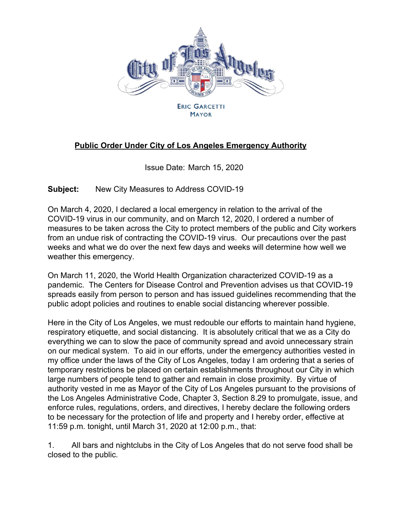

**MAYOR** 

## **Public Order Under City of Los Angeles Emergency Authority**

Issue Date: March 15, 2020

**Subject:** New City Measures to Address COVID-19

On March 4, 2020, I declared a local emergency in relation to the arrival of the COVID-19 virus in our community, and on March 12, 2020, I ordered a number of measures to be taken across the City to protect members of the public and City workers from an undue risk of contracting the COVID-19 virus. Our precautions over the past weeks and what we do over the next few days and weeks will determine how well we weather this emergency.

On March 11, 2020, the World Health Organization characterized COVID-19 as a pandemic. The Centers for Disease Control and Prevention advises us that COVID-19 spreads easily from person to person and has issued guidelines recommending that the public adopt policies and routines to enable social distancing wherever possible.

Here in the City of Los Angeles, we must redouble our efforts to maintain hand hygiene, respiratory etiquette, and social distancing. It is absolutely critical that we as a City do everything we can to slow the pace of community spread and avoid unnecessary strain on our medical system. To aid in our efforts, under the emergency authorities vested in my office under the laws of the City of Los Angeles, today I am ordering that a series of temporary restrictions be placed on certain establishments throughout our City in which large numbers of people tend to gather and remain in close proximity. By virtue of authority vested in me as Mayor of the City of Los Angeles pursuant to the provisions of the Los Angeles Administrative Code, Chapter 3, Section 8.29 to promulgate, issue, and enforce rules, regulations, orders, and directives, I hereby declare the following orders to be necessary for the protection of life and property and I hereby order, effective at 11:59 p.m. tonight, until March 31, 2020 at 12:00 p.m., that:

1. All bars and nightclubs in the City of Los Angeles that do not serve food shall be closed to the public.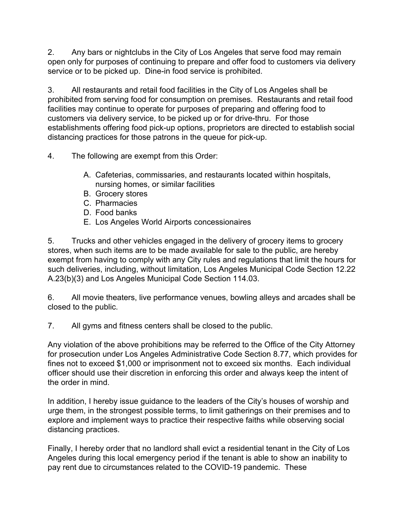2. Any bars or nightclubs in the City of Los Angeles that serve food may remain open only for purposes of continuing to prepare and offer food to customers via delivery service or to be picked up. Dine-in food service is prohibited.

3. All restaurants and retail food facilities in the City of Los Angeles shall be prohibited from serving food for consumption on premises. Restaurants and retail food facilities may continue to operate for purposes of preparing and offering food to customers via delivery service, to be picked up or for drive-thru. For those establishments offering food pick-up options, proprietors are directed to establish social distancing practices for those patrons in the queue for pick-up.

4. The following are exempt from this Order:

- A. Cafeterias, commissaries, and restaurants located within hospitals, nursing homes, or similar facilities
- B. Grocery stores
- C. Pharmacies
- D. Food banks
- E. Los Angeles World Airports concessionaires

5. Trucks and other vehicles engaged in the delivery of grocery items to grocery stores, when such items are to be made available for sale to the public, are hereby exempt from having to comply with any City rules and regulations that limit the hours for such deliveries, including, without limitation, Los Angeles Municipal Code Section 12.22 A.23(b)(3) and Los Angeles Municipal Code Section 114.03.

6. All movie theaters, live performance venues, bowling alleys and arcades shall be closed to the public.

7. All gyms and fitness centers shall be closed to the public.

Any violation of the above prohibitions may be referred to the Office of the City Attorney for prosecution under Los Angeles Administrative Code Section 8.77, which provides for fines not to exceed \$1,000 or imprisonment not to exceed six months. Each individual officer should use their discretion in enforcing this order and always keep the intent of the order in mind.

In addition, I hereby issue guidance to the leaders of the City's houses of worship and urge them, in the strongest possible terms, to limit gatherings on their premises and to explore and implement ways to practice their respective faiths while observing social distancing practices.

Finally, I hereby order that no landlord shall evict a residential tenant in the City of Los Angeles during this local emergency period if the tenant is able to show an inability to pay rent due to circumstances related to the COVID-19 pandemic. These